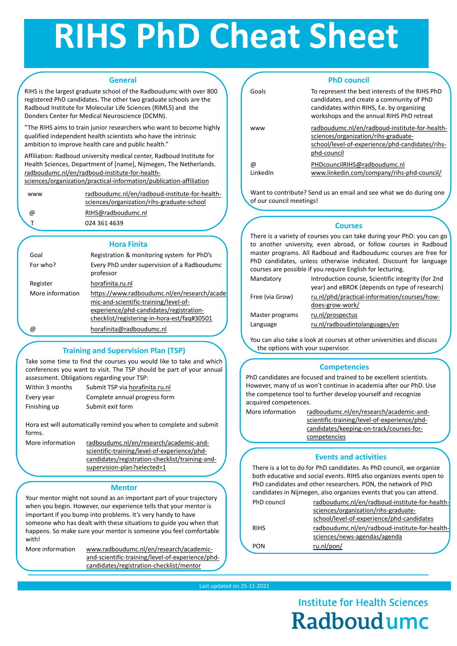## **RIHS PhD Cheat Sheet**

#### Last updated on 25-11-2021

**Institute for Health Sciences** Radboudumc

## **General**

RIHS is the largest graduate school of the Radboudumc with over 800 registered PhD candidates. The other two graduate schools are the Radboud Institute for Molecular Life Sciences (RIMLS) and the Donders Center for Medical Neuroscience (DCMN).

"The RIHS aims to train junior researchers who want to become highly qualified independent health scientists who have the intrinsic ambition to improve health care and public health."

> [radboudumc.nl/en/radboud-institute-for-health](https://www.radboudumc.nl/en/radboud-institute-for-health-sciences/organization/rihs-graduate-school)sciences/organization/rihs-graduate-school @ [RIHS@radboudumc.nl](mailto:RIHS@radboudumc.nl)

024 361 4639

More information [https://www.radboudumc.nl/en/research/acade](https://www.radboudumc.nl/en/research/academic-and-scientific-training/level-of-experience/phd-candidates/registration-checklist/registering-in-hora-est/faq#30501) mic-and-scientific-training/level-ofexperience/phd-candidates/registrationchecklist/registering-in-hora-est/faq#30501

Affiliation: Radboud university medical center, Radboud Institute for Health Sciences, Department of [name], Nijmegen, The Netherlands. radboudumc.nl/en/radboud-institute-for-health[sciences/organization/practical-information/publication-affiliation](https://www.radboudumc.nl/en/radboud-institute-for-health-sciences/organization/practical-information/publication-affiliation)

 $\omega$ 

Within 3 months Submit TSP via horafinita.ru.nl Every year Complete annual progress form

Finishing up Submit exit form

## **Hora Finita**

More information radboudumc.nl/en/research/academic-andscientific-training/level-of-experience/phd[candidates/registration-checklist/training-and](https://www.radboudumc.nl/en/research/academic-and-scientific-training/level-of-experience/phd-candidates/registration-checklist/training-and-supervision-plan?selected=1)supervision-plan?selected=1

| Goal     | Registration & monitoring system for PhD's  |
|----------|---------------------------------------------|
| For who? | Every PhD under supervision of a Radboudumc |
|          | professor                                   |

## Register [horafinita.ru.nl](https://horaest.ru.nl/)

PhD council [radboudumc.nl/en/radboud-institute-for-health](https://www.radboudumc.nl/en/radboud-institute-for-health-sciences/organization/rihs-graduate-school/level-of-experience/phd-candidates/rihs-phd-council)sciences/organization/rihs-graduate-

|             | school/level-of-experience/phd-candidates      |
|-------------|------------------------------------------------|
| <b>RIHS</b> | radboudumc.nl/en/radboud-institute-for-health- |
|             | sciences/news-agendas/agenda                   |
| <b>PON</b>  | ru.nl/pon/                                     |

@ [horafinita@radboudumc.nl](mailto:horaest@radboudumc.nl)

## **Training and Supervision Plan (TSP)**

Take some time to find the courses you would like to take and which conferences you want to visit. The TSP should be part of your annual assessment. Obligations regarding your TSP:

Mandatory Introduction course, Scientific integrity (for 2nd year) and eBROK (depends on type of research) Free (via Grow) [ru.nl/phd/practical-information/courses/how](https://www.ru.nl/phd/practical-information/courses/how-does-grow-work/)does-grow-work/ Master programs [ru.nl/prospectus](http://www.ru.nl/prospectus) Language [ru.nl/radboudintolanguages/en](http://www.ru.nl/radboudintolanguages/en)

Hora est will automatically remind you when to complete and submit forms.

## **Events and activities**

There is a lot to do for PhD candidates. As PhD council, we organize both educative and social events. RIHS also organizes events open to PhD candidates and other researchers. PON, the network of PhD candidates in Nijmegen, also organizes events that you can attend.

## **PhD council**

Goals To represent the best interests of the RIHS PhD candidates, and create a community of PhD candidates within RIHS, f.e. by organizing workshops and the annual RIHS PhD retreat

www radboudumc.nl/en/radboud-institute-for-healthsciences/organization/rihs-graduate[school/level-of-experience/phd-candidates/rihs](https://www.radboudumc.nl/en/radboud-institute-for-health-sciences/organization/rihs-graduate-school/level-of-experience/phd-candidates/rihs-phd-council)phd-council

LinkedIn

### [PHDcouncilRIHS@radboudumc.nl](mailto:PHDcouncilRIHS@radboudumc.nl)

| <b>WWW</b>  |  |  |
|-------------|--|--|
| $\circledR$ |  |  |
|             |  |  |

### [www.linkedin.com/company/rihs-phd-council/](http://www.linkedin.com/company/rihs-phd-council/)

Want to contribute? Send us an email and see what we do during one of our council meetings!

## **Courses**

There is a variety of courses you can take during your PhD: you can go to another university, even abroad, or follow courses in Radboud master programs. All Radboud and Radboudumc courses are free for PhD candidates, unless otherwise indicated. Discount for language courses are possible if you require English for lecturing.

You can also take a look at courses at other universities and discuss

## **Competencies**

PhD candidates are focused and trained to be excellent scientists. However, many of us won't continue in academia after our PhD. Use the competence tool to further develop yourself and recognize acquired competences.

More information radboudumc.nl/en/research/academic-and[scientific-training/level-of-experience/phd](https://www.radboudumc.nl/en/research/academic-and-scientific-training/level-of-experience/phd-candidates/keeping-on-track/courses-for-competencies)candidates/keeping-on-track/courses-forcompetencies

## **Mentor**

Your mentor might not sound as an important part of your trajectory when you begin. However, our experience tells that your mentor is important if you bump into problems. It's very handy to have someone who has dealt with these situations to guide you when that happens. So make sure your mentor is someone you feel comfortable with!

the options with your supervisor.

More information www.radboudumc.nl/en/research/academic[and-scientific-training/level-of-experience/phd](https://www.radboudumc.nl/en/research/academic-and-scientific-training/level-of-experience/phd-candidates/registration-checklist/mentor)candidates/registration-checklist/mentor